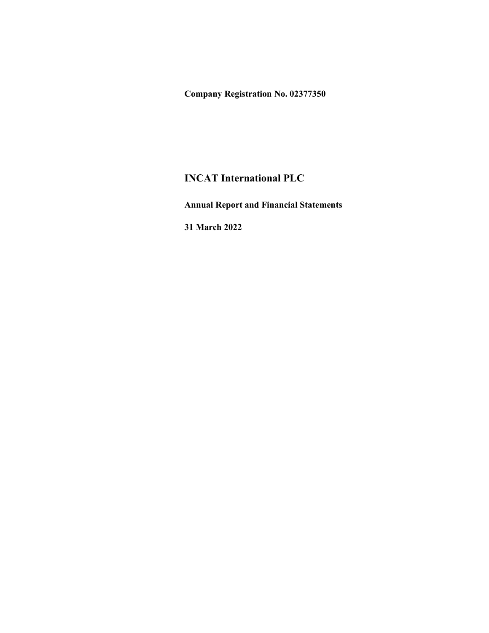Company Registration No. 02377350

## INCAT International PLC

Annual Report and Financial Statements

31 March 2022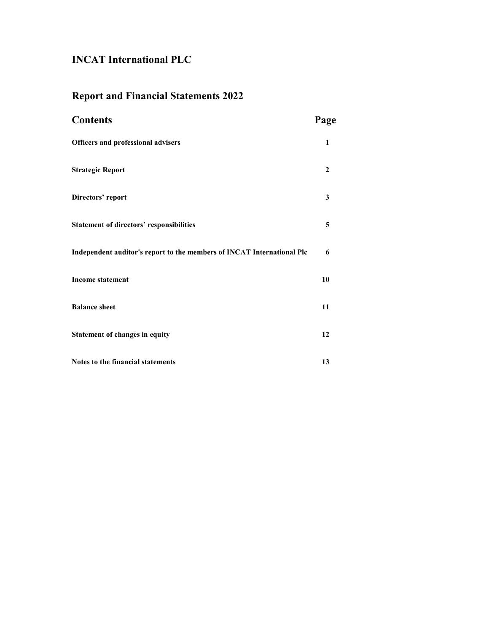# Report and Financial Statements 2022

| <b>Contents</b>                                                        | Page                    |
|------------------------------------------------------------------------|-------------------------|
| <b>Officers and professional advisers</b>                              | $\mathbf{1}$            |
| <b>Strategic Report</b>                                                | $\mathbf 2$             |
| Directors' report                                                      | $\mathbf{3}$            |
| <b>Statement of directors' responsibilities</b>                        | $\overline{\mathbf{5}}$ |
| Independent auditor's report to the members of INCAT International Plc | 6                       |
| <b>Income statement</b>                                                | 10                      |
| <b>Balance sheet</b>                                                   | 11                      |
| <b>Statement of changes in equity</b>                                  | 12                      |
| Notes to the financial statements                                      | 13                      |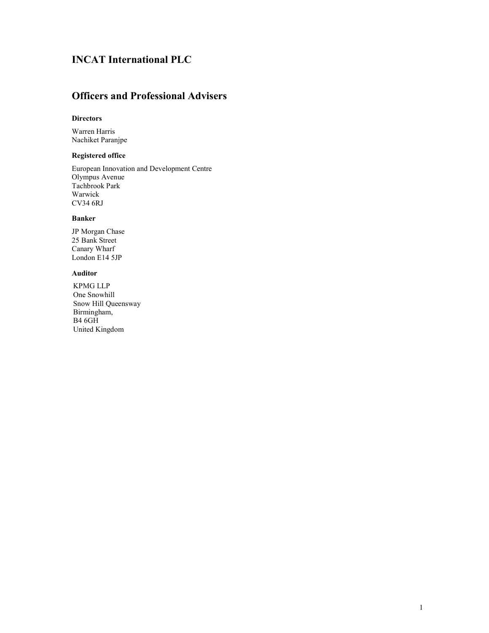### Officers and Professional Advisers

### **Directors**

Warren Harris Nachiket Paranjpe

### Registered office

European Innovation and Development Centre Olympus Avenue Tachbrook Park Warwick CV34 6RJ

### Banker

JP Morgan Chase 25 Bank Street Canary Wharf London E14 5JP

### Auditor

KPMG LLP One Snowhill Snow Hill Queensway Birmingham, B4 6GH United Kingdom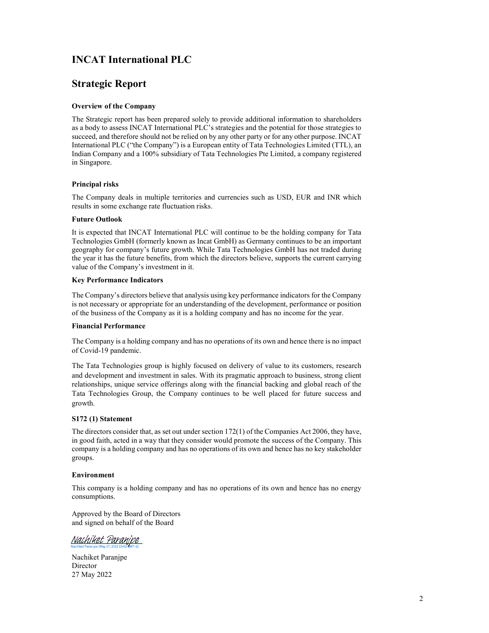### Strategic Report

### Overview of the Company

The Strategic report has been prepared solely to provide additional information to shareholders as a body to assess INCAT International PLC's strategies and the potential for those strategies to succeed, and therefore should not be relied on by any other party or for any other purpose. INCAT International PLC ("the Company") is a European entity of Tata Technologies Limited (TTL), an Indian Company and a 100% subsidiary of Tata Technologies Pte Limited, a company registered in Singapore.

### Principal risks

The Company deals in multiple territories and currencies such as USD, EUR and INR which results in some exchange rate fluctuation risks.

### Future Outlook

It is expected that INCAT International PLC will continue to be the holding company for Tata Technologies GmbH (formerly known as Incat GmbH) as Germany continues to be an important geography for company's future growth. While Tata Technologies GmbH has not traded during the year it has the future benefits, from which the directors believe, supports the current carrying value of the Company's investment in it.

### Key Performance Indicators

The Company's directors believe that analysis using key performance indicators for the Company is not necessary or appropriate for an understanding of the development, performance or position of the business of the Company as it is a holding company and has no income for the year.

### Financial Performance

The Company is a holding company and has no operations of its own and hence there is no impact of Covid-19 pandemic.

The Tata Technologies group is highly focused on delivery of value to its customers, research and development and investment in sales. With its pragmatic approach to business, strong client relationships, unique service offerings along with the financial backing and global reach of the Tata Technologies Group, the Company continues to be well placed for future success and growth.

### S172 (1) Statement

The directors consider that, as set out under section 172(1) of the Companies Act 2006, they have, in good faith, acted in a way that they consider would promote the success of the Company. This company is a holding company and has no operations of its own and hence has no key stakeholder groups.

### Environment

This company is a holding company and has no operations of its own and hence has no energy consumptions.

Approved by the Board of Directors and signed on behalf of the Board

Nachiket Paranipe

Nachiket Paranjpe Director 27 May 2022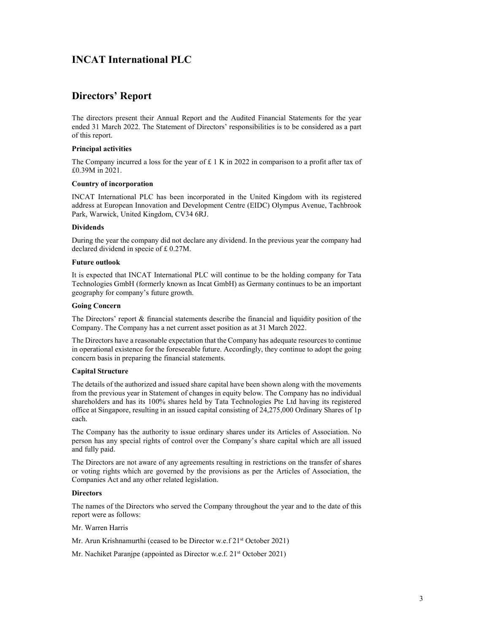### Directors' Report

The directors present their Annual Report and the Audited Financial Statements for the year ended 31 March 2022. The Statement of Directors' responsibilities is to be considered as a part of this report.

### Principal activities

The Company incurred a loss for the year of  $£ 1 K$  in 2022 in comparison to a profit after tax of £0.39M in 2021.

### Country of incorporation

INCAT International PLC has been incorporated in the United Kingdom with its registered address at European Innovation and Development Centre (EIDC) Olympus Avenue, Tachbrook Park, Warwick, United Kingdom, CV34 6RJ.

### **Dividends**

During the year the company did not declare any dividend. In the previous year the company had declared dividend in specie of £ 0.27M.

### Future outlook

It is expected that INCAT International PLC will continue to be the holding company for Tata Technologies GmbH (formerly known as Incat GmbH) as Germany continues to be an important geography for company's future growth.

### Going Concern

The Directors' report & financial statements describe the financial and liquidity position of the Company. The Company has a net current asset position as at 31 March 2022.

The Directors have a reasonable expectation that the Company has adequate resources to continue in operational existence for the foreseeable future. Accordingly, they continue to adopt the going concern basis in preparing the financial statements.

### Capital Structure

The details of the authorized and issued share capital have been shown along with the movements from the previous year in Statement of changes in equity below. The Company has no individual shareholders and has its 100% shares held by Tata Technologies Pte Ltd having its registered office at Singapore, resulting in an issued capital consisting of 24,275,000 Ordinary Shares of 1p each.

The Company has the authority to issue ordinary shares under its Articles of Association. No person has any special rights of control over the Company's share capital which are all issued and fully paid.

The Directors are not aware of any agreements resulting in restrictions on the transfer of shares or voting rights which are governed by the provisions as per the Articles of Association, the Companies Act and any other related legislation.

### **Directors**

The names of the Directors who served the Company throughout the year and to the date of this report were as follows:

Mr. Warren Harris

Mr. Arun Krishnamurthi (ceased to be Director w.e.f 21<sup>st</sup> October 2021)

Mr. Nachiket Paranjpe (appointed as Director w.e.f. 21<sup>st</sup> October 2021)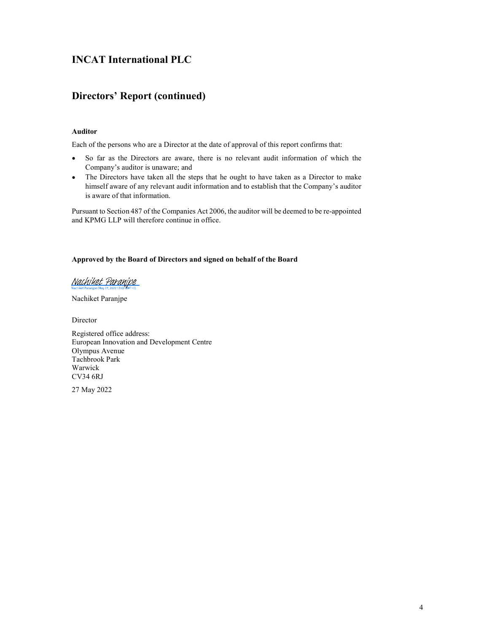## Directors' Report (continued)

### Auditor

Each of the persons who are a Director at the date of approval of this report confirms that:

- $\bullet$ So far as the Directors are aware, there is no relevant audit information of which the Company's auditor is unaware; and
- The Directors have taken all the steps that he ought to have taken as a Director to make  $\bullet$ himself aware of any relevant audit information and to establish that the Company's auditor is aware of that information.

Pursuant to Section 487 of the Companies Act 2006, the auditor will be deemed to be re-appointed and KPMG LLP will therefore continue in office.

### Approved by the Board of Directors and signed on behalf of the Board

### Nachiket Paranipe

Nachiket Paranjpe

Director

Registered office address: European Innovation and Development Centre Olympus Avenue Tachbrook Park Warwick CV34 6RJ

27 May 2022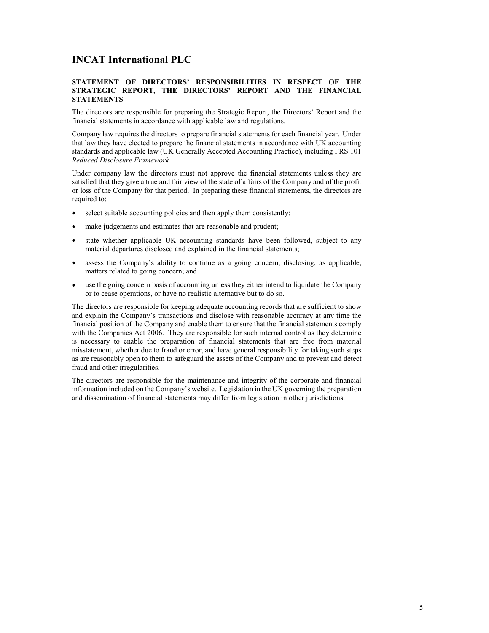### STATEMENT OF DIRECTORS' RESPONSIBILITIES IN RESPECT OF THE STRATEGIC REPORT, THE DIRECTORS' REPORT AND THE FINANCIAL **STATEMENTS**

The directors are responsible for preparing the Strategic Report, the Directors' Report and the financial statements in accordance with applicable law and regulations.

Company law requires the directors to prepare financial statements for each financial year. Under that law they have elected to prepare the financial statements in accordance with UK accounting standards and applicable law (UK Generally Accepted Accounting Practice), including FRS 101<br>Reduced Disclosure Framework

Under company law the directors must not approve the financial statements unless they are satisfied that they give a true and fair view of the state of affairs of the Company and of the profit or loss of the Company for that period. In preparing these financial statements, the directors are required to:

- select suitable accounting policies and then apply them consistently;
- make judgements and estimates that are reasonable and prudent;
- state whether applicable UK accounting standards have been followed, subject to any material departures disclosed and explained in the financial statements;
- assess the Company's ability to continue as a going concern, disclosing, as applicable, matters related to going concern; and
- use the going concern basis of accounting unless they either intend to liquidate the Company or to cease operations, or have no realistic alternative but to do so.

The directors are responsible for keeping adequate accounting records that are sufficient to show and explain the Company's transactions and disclose with reasonable accuracy at any time the financial position of the Company and enable them to ensure that the financial statements comply with the Companies Act 2006. They are responsible for such internal control as they determine is necessary to enable the preparation of financial statements that are free from material misstatement, whether due to fraud or error, and have general responsibility for taking such steps as are reasonably open to them to safeguard the assets of the Company and to prevent and detect fraud and other irregularities.

The directors are responsible for the maintenance and integrity of the corporate and financial information included on the Company's website. Legislation in the UK governing the preparation and dissemination of financial statements may differ from legislation in other jurisdictions.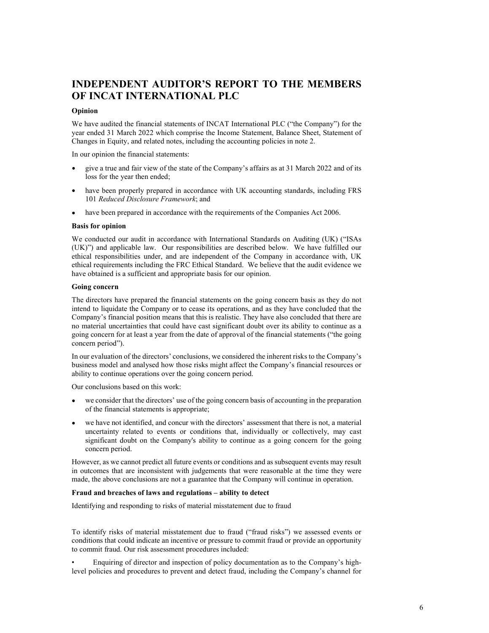## INDEPENDENT AUDITOR'S REPORT TO THE MEMBERS OF INCAT INTERNATIONAL PLC

### Opinion

We have audited the financial statements of INCAT International PLC ("the Company") for the year ended 31 March 2022 which comprise the Income Statement, Balance Sheet, Statement of Changes in Equity, and related notes, including the accounting policies in note 2.

In our opinion the financial statements:

- give a true and fair view of the state of the Company's affairs as at 31 March 2022 and of its loss for the year then ended;
- have been properly prepared in accordance with UK accounting standards, including FRS  $\bullet$ 101 Reduced Disclosure Framework; and
- have been prepared in accordance with the requirements of the Companies Act 2006.

### Basis for opinion

We conducted our audit in accordance with International Standards on Auditing (UK) ("ISAs (UK)") and applicable law. Our responsibilities are described below. We have fulfilled our ethical responsibilities under, and are independent of the Company in accordance with, UK ethical requirements including the FRC Ethical Standard. We believe that the audit evidence we have obtained is a sufficient and appropriate basis for our opinion.

### Going concern

The directors have prepared the financial statements on the going concern basis as they do not intend to liquidate the Company or to cease its operations, and as they have concluded that the Company's financial position means that this is realistic. They have also concluded that there are no material uncertainties that could have cast significant doubt over its ability to continue as a going concern for at least a year from the date of approval of the financial statements ("the going concern period").

In our evaluation of the directors' conclusions, we considered the inherent risks to the Company's business model and analysed how those risks might affect the Company's financial resources or ability to continue operations over the going concern period.

Our conclusions based on this work:

- we consider that the directors' use of the going concern basis of accounting in the preparation of the financial statements is appropriate;
- we have not identified, and concur with the directors' assessment that there is not, a material uncertainty related to events or conditions that, individually or collectively, may cast significant doubt on the Company's ability to continue as a going concern for the going concern period.

However, as we cannot predict all future events or conditions and as subsequent events may result in outcomes that are inconsistent with judgements that were reasonable at the time they were made, the above conclusions are not a guarantee that the Company will continue in operation.

### Fraud and breaches of laws and regulations – ability to detect

Identifying and responding to risks of material misstatement due to fraud

To identify risks of material misstatement due to fraud ("fraud risks") we assessed events or conditions that could indicate an incentive or pressure to commit fraud or provide an opportunity to commit fraud. Our risk assessment procedures included:

• Enquiring of director and inspection of policy documentation as to the Company's highlevel policies and procedures to prevent and detect fraud, including the Company's channel for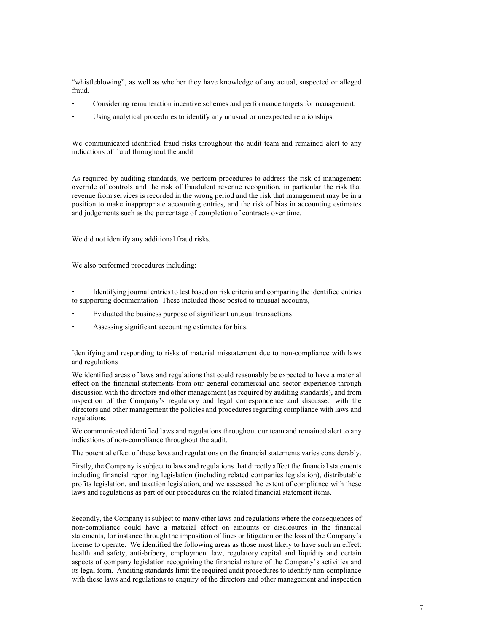"whistleblowing", as well as whether they have knowledge of any actual, suspected or alleged fraud.

- Considering remuneration incentive schemes and performance targets for management.
- Using analytical procedures to identify any unusual or unexpected relationships.

We communicated identified fraud risks throughout the audit team and remained alert to any indications of fraud throughout the audit

As required by auditing standards, we perform procedures to address the risk of management override of controls and the risk of fraudulent revenue recognition, in particular the risk that revenue from services is recorded in the wrong period and the risk that management may be in a position to make inappropriate accounting entries, and the risk of bias in accounting estimates and judgements such as the percentage of completion of contracts over time.

We did not identify any additional fraud risks.

We also performed procedures including:

• Identifying journal entries to test based on risk criteria and comparing the identified entries to supporting documentation. These included those posted to unusual accounts,

- Evaluated the business purpose of significant unusual transactions
- Assessing significant accounting estimates for bias.

Identifying and responding to risks of material misstatement due to non-compliance with laws and regulations

We identified areas of laws and regulations that could reasonably be expected to have a material effect on the financial statements from our general commercial and sector experience through discussion with the directors and other management (as required by auditing standards), and from inspection of the Company's regulatory and legal correspondence and discussed with the directors and other management the policies and procedures regarding compliance with laws and regulations.

We communicated identified laws and regulations throughout our team and remained alert to any indications of non-compliance throughout the audit.

The potential effect of these laws and regulations on the financial statements varies considerably.

Firstly, the Company is subject to laws and regulations that directly affect the financial statements including financial reporting legislation (including related companies legislation), distributable profits legislation, and taxation legislation, and we assessed the extent of compliance with these laws and regulations as part of our procedures on the related financial statement items.

Secondly, the Company is subject to many other laws and regulations where the consequences of non-compliance could have a material effect on amounts or disclosures in the financial statements, for instance through the imposition of fines or litigation or the loss of the Company's license to operate. We identified the following areas as those most likely to have such an effect: health and safety, anti-bribery, employment law, regulatory capital and liquidity and certain aspects of company legislation recognising the financial nature of the Company's activities and its legal form. Auditing standards limit the required audit procedures to identify non-compliance with these laws and regulations to enquiry of the directors and other management and inspection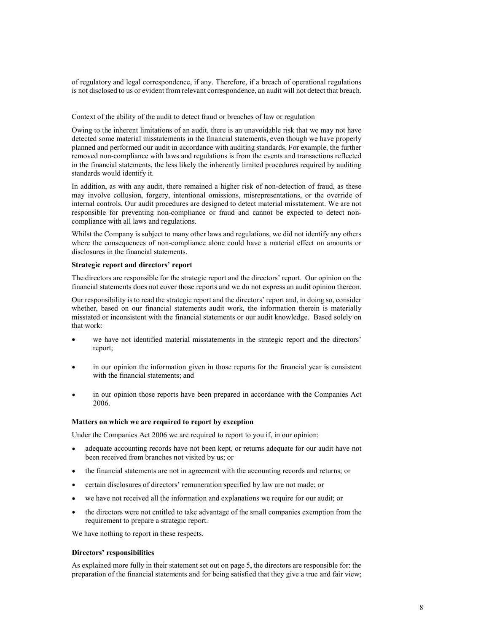of regulatory and legal correspondence, if any. Therefore, if a breach of operational regulations is not disclosed to us or evident from relevant correspondence, an audit will not detect that breach.

#### Context of the ability of the audit to detect fraud or breaches of law or regulation

Owing to the inherent limitations of an audit, there is an unavoidable risk that we may not have detected some material misstatements in the financial statements, even though we have properly planned and performed our audit in accordance with auditing standards. For example, the further removed non-compliance with laws and regulations is from the events and transactions reflected in the financial statements, the less likely the inherently limited procedures required by auditing standards would identify it.

In addition, as with any audit, there remained a higher risk of non-detection of fraud, as these may involve collusion, forgery, intentional omissions, misrepresentations, or the override of internal controls. Our audit procedures are designed to detect material misstatement. We are not responsible for preventing non-compliance or fraud and cannot be expected to detect noncompliance with all laws and regulations.

Whilst the Company is subject to many other laws and regulations, we did not identify any others where the consequences of non-compliance alone could have a material effect on amounts or disclosures in the financial statements.

#### Strategic report and directors' report

The directors are responsible for the strategic report and the directors' report. Our opinion on the financial statements does not cover those reports and we do not express an audit opinion thereon.

Our responsibility is to read the strategic report and the directors' report and, in doing so, consider whether, based on our financial statements audit work, the information therein is materially misstated or inconsistent with the financial statements or our audit knowledge. Based solely on that work:

- we have not identified material misstatements in the strategic report and the directors' report;
- in our opinion the information given in those reports for the financial year is consistent with the financial statements; and
- in our opinion those reports have been prepared in accordance with the Companies Act 2006.

#### Matters on which we are required to report by exception

Under the Companies Act 2006 we are required to report to you if, in our opinion:

- adequate accounting records have not been kept, or returns adequate for our audit have not been received from branches not visited by us; or
- the financial statements are not in agreement with the accounting records and returns; or  $\bullet$
- certain disclosures of directors' remuneration specified by law are not made; or
- we have not received all the information and explanations we require for our audit; or  $\bullet$
- $\bullet$ the directors were not entitled to take advantage of the small companies exemption from the requirement to prepare a strategic report.

We have nothing to report in these respects.

#### Directors' responsibilities

As explained more fully in their statement set out on page 5, the directors are responsible for: the preparation of the financial statements and for being satisfied that they give a true and fair view;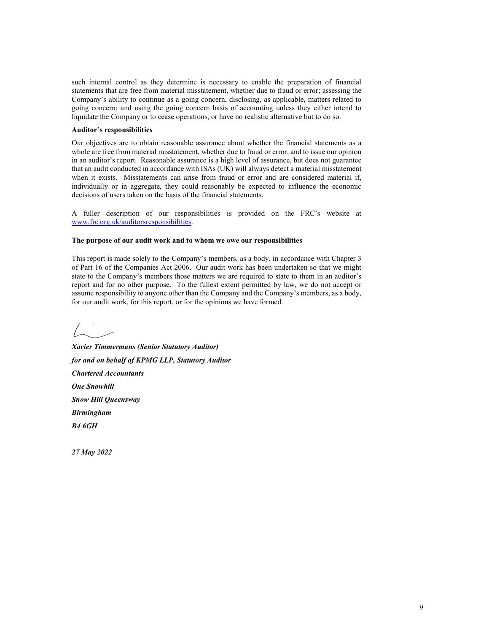such internal control as they determine is necessary to enable the preparation of financial statements that are free from material misstatement, whether due to fraud or error; assessing the Company's ability to continue as a going concern, disclosing, as applicable, matters related to going concern; and using the going concern basis of accounting unless they either intend to such internal control as they determine is necessary to enable the preparation of financial<br>statements that are free from material misstatement, whether due to fraud or error; assessing the<br>Company's ability to continue as

#### Auditor's responsibilities

Our objectives are to obtain reasonable assurance about whether the financial statements as a whole are free from material misstatement, whether due to fraud or error, and to issue our opinion such internal control as they determine is necessary to enable the preparation of financial<br>statements that are free from material mistatement, whether due to fraud or error; assessing the<br>Company's ability to continue as that an audit conducted in accordance with ISAs (UK) will always detect a material misstatement when it exists. Misstatements can arise from fraud or error and are considered material if, individually or in aggregate, they could reasonably be expected to influence the economic decisions of users taken on the basis of the financial statements. statements that are free from material misstatement, whicher due to final or error; messesing the company's ability to continue as a going concern, alisolosing, as applicable, matters related to going concern, and sings th

A fuller description of our responsibilities is provided on the FRC's website at www.frc.org.uk/auditorsresponsibilities.

#### The purpose of our audit work and to whom we owe our responsibilities

This report is made solely to the Company's members, as a body, in accordance with Chapter 3 of Part 16 of the Companies Act 2006. Our audit work has been undertaken so that we might state to the Company's members those matters we are required to state to them in an auditor's report and for no other purpose. To the fullest extent permitted by law, we do not accept or for our audit work, for this report, or for the opinions we have formed.

Xavier Timmermans (Senior Statutory Auditor) for and on behalf of KPMG LLP, Statutory Auditor Chartered Accountants One Snowhill Snow Hill Queensway Birmingham  $B46GH$ This report is made solely to the Company's members, as a body, in accordance with Chapter of Part 16 of the Companies Act 2006. Our audit work has been undertaken so that we might<br>state to the Company's members those mat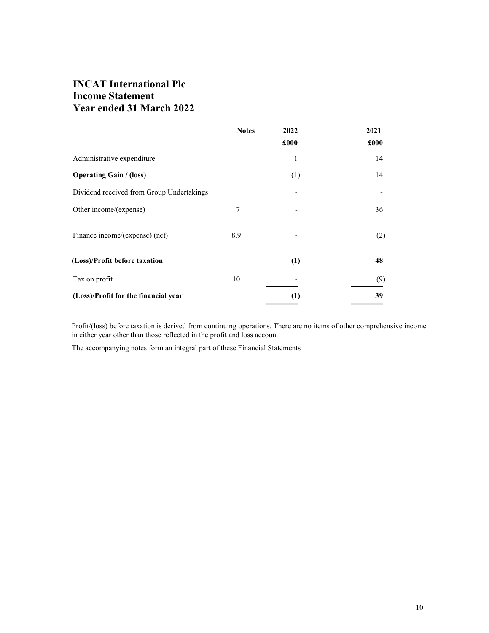## INCAT International Plc Income Statement Year ended 31 March 2022

|                                           | <b>Notes</b> | 2022                     | 2021 |
|-------------------------------------------|--------------|--------------------------|------|
|                                           |              | £000                     | £000 |
| Administrative expenditure                |              |                          | 14   |
| <b>Operating Gain / (loss)</b>            |              | (1)                      | 14   |
| Dividend received from Group Undertakings |              |                          |      |
| Other income/(expense)                    | 7            | $\overline{\phantom{a}}$ | 36   |
| Finance income/(expense) (net)            | 8,9          |                          | (2)  |
| (Loss)/Profit before taxation             |              | (1)                      | 48   |
| Tax on profit                             | 10           |                          | (9)  |
| (Loss)/Profit for the financial year      |              | (1)                      | 39   |

Profit/(loss) before taxation is derived from continuing operations. There are no items of other comprehensive income in either year other than those reflected in the profit and loss account.

The accompanying notes form an integral part of these Financial Statements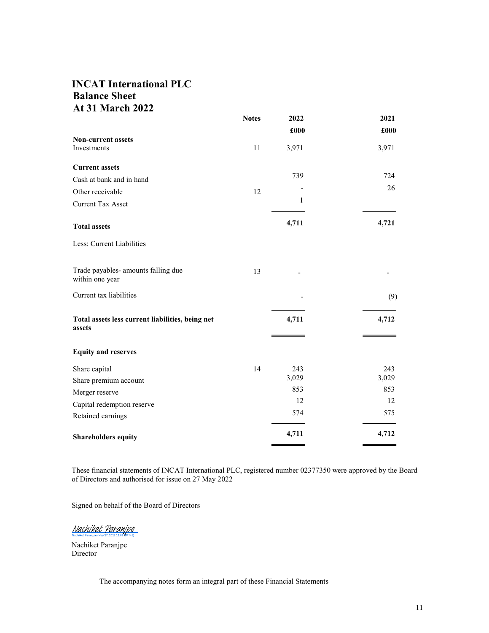## INCAT International PLC Balance Sheet At 31 March 2022

|                                                            | <b>Notes</b> | 2022  | 2021  |
|------------------------------------------------------------|--------------|-------|-------|
|                                                            |              | £000  | £000  |
| Non-current assets<br>Investments                          | 11           | 3,971 | 3,971 |
| <b>Current assets</b>                                      |              |       |       |
| Cash at bank and in hand                                   |              | 739   | 724   |
| Other receivable                                           | 12           |       | 26    |
| <b>Current Tax Asset</b>                                   |              | 1     |       |
| <b>Total assets</b>                                        |              | 4,711 | 4,721 |
| Less: Current Liabilities                                  |              |       |       |
| Trade payables- amounts falling due<br>within one year     | 13           |       |       |
| Current tax liabilities                                    |              |       | (9)   |
| Total assets less current liabilities, being net<br>assets |              | 4,711 | 4,712 |
| <b>Equity and reserves</b>                                 |              |       |       |
| Share capital                                              | 14           | 243   | 243   |
| Share premium account                                      |              | 3,029 | 3,029 |
| Merger reserve                                             |              | 853   | 853   |
| Capital redemption reserve                                 |              | 12    | 12    |
| Retained earnings                                          |              | 574   | 575   |
| <b>Shareholders equity</b>                                 |              | 4,711 | 4,712 |

These financial statements of INCAT International PLC, registered number 02377350 were approved by the Board of Directors and authorised for issue on 27 May 2022

Signed on behalf of the Board of Directors

Nachiket Paranjpe

Nachiket Paranjpe Director

The accompanying notes form an integral part of these Financial Statements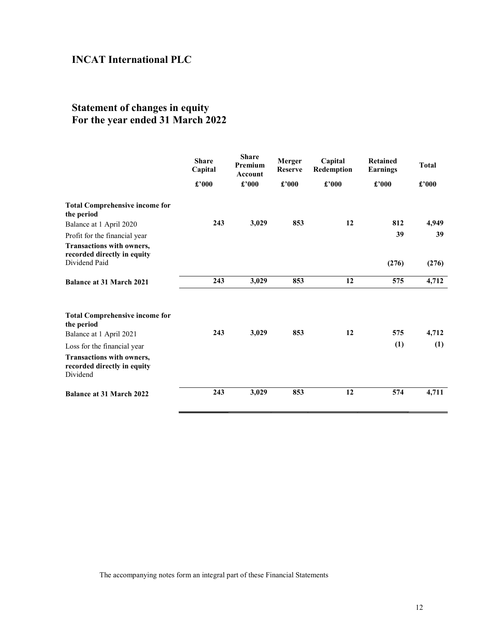## Statement of changes in equity For the year ended 31 March 2022

|                                                                           | <b>Share</b><br>Capital | <b>Share</b><br>Premium<br>Account | Merger<br><b>Reserve</b> | Capital<br>Redemption | <b>Retained</b><br><b>Earnings</b> | <b>Total</b>                 |  |
|---------------------------------------------------------------------------|-------------------------|------------------------------------|--------------------------|-----------------------|------------------------------------|------------------------------|--|
|                                                                           | £'000                   | $\pounds$ '000                     | $\pmb{\pounds}$ '000     | £'000                 | £'000                              | $\pmb{\pounds}^{\bullet}000$ |  |
| <b>Total Comprehensive income for</b><br>the period                       |                         |                                    |                          |                       |                                    |                              |  |
| Balance at 1 April 2020                                                   | 243                     | 3,029                              | 853                      | 12                    | 812                                | 4,949                        |  |
| Profit for the financial year                                             |                         |                                    |                          |                       | 39                                 | 39                           |  |
| Transactions with owners,<br>recorded directly in equity<br>Dividend Paid |                         |                                    |                          |                       | (276)                              | (276)                        |  |
| <b>Balance at 31 March 2021</b>                                           | 243                     | 3,029                              | 853                      | 12                    | 575                                | 4,712                        |  |
|                                                                           |                         |                                    |                          |                       |                                    |                              |  |
| <b>Total Comprehensive income for</b><br>the period                       |                         |                                    |                          |                       |                                    |                              |  |
| Balance at 1 April 2021                                                   | 243                     | 3,029                              | 853                      | 12                    | 575                                | 4,712                        |  |
| Loss for the financial year                                               |                         |                                    |                          |                       | (1)                                | (1)                          |  |
| Transactions with owners,<br>recorded directly in equity<br>Dividend      |                         |                                    |                          |                       |                                    |                              |  |
| <b>Balance at 31 March 2022</b>                                           | 243                     | 3,029                              | 853                      | 12                    | 574                                | 4,711                        |  |
|                                                                           |                         |                                    |                          |                       |                                    |                              |  |

The accompanying notes form an integral part of these Financial Statements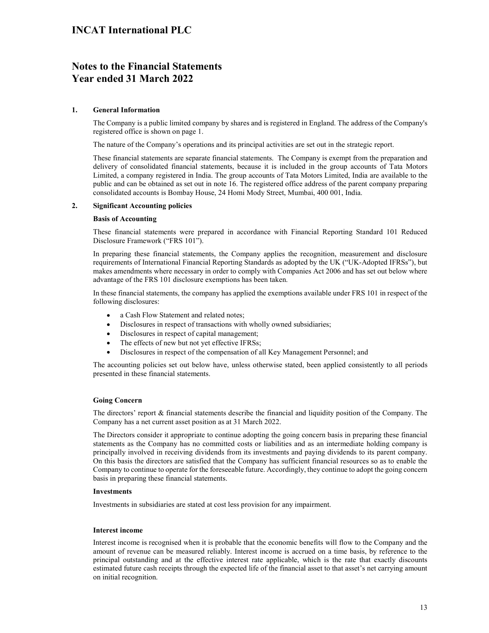## Notes to the Financial Statements Year ended 31 March 2022

### 1. General Information

The Company is a public limited company by shares and is registered in England. The address of the Company's registered office is shown on page 1.

The nature of the Company's operations and its principal activities are set out in the strategic report.

These financial statements are separate financial statements. The Company is exempt from the preparation and delivery of consolidated financial statements, because it is included in the group accounts of Tata Motors Limited, a company registered in India. The group accounts of Tata Motors Limited, India are available to the public and can be obtained as set out in note 16. The registered office address of the parent company preparing consolidated accounts is Bombay House, 24 Homi Mody Street, Mumbai, 400 001, India.

### 2. Significant Accounting policies

### Basis of Accounting

These financial statements were prepared in accordance with Financial Reporting Standard 101 Reduced Disclosure Framework ("FRS 101").

In preparing these financial statements, the Company applies the recognition, measurement and disclosure requirements of International Financial Reporting Standards as adopted by the UK ("UK-Adopted IFRSs"), but makes amendments where necessary in order to comply with Companies Act 2006 and has set out below where advantage of the FRS 101 disclosure exemptions has been taken.

In these financial statements, the company has applied the exemptions available under FRS 101 in respect of the following disclosures:

- a Cash Flow Statement and related notes;  $\bullet$
- $\bullet$ Disclosures in respect of transactions with wholly owned subsidiaries;
- $\bullet$ Disclosures in respect of capital management;
- The effects of new but not yet effective IFRSs;  $\bullet$
- Disclosures in respect of the compensation of all Key Management Personnel; and

The accounting policies set out below have, unless otherwise stated, been applied consistently to all periods presented in these financial statements.

### Going Concern

The directors' report & financial statements describe the financial and liquidity position of the Company. The Company has a net current asset position as at 31 March 2022.

The Directors consider it appropriate to continue adopting the going concern basis in preparing these financial statements as the Company has no committed costs or liabilities and as an intermediate holding company is principally involved in receiving dividends from its investments and paying dividends to its parent company. On this basis the directors are satisfied that the Company has sufficient financial resources so as to enable the Company to continue to operate for the foreseeable future. Accordingly, they continue to adopt the going concern basis in preparing these financial statements.

### Investments

Investments in subsidiaries are stated at cost less provision for any impairment.

### Interest income

Interest income is recognised when it is probable that the economic benefits will flow to the Company and the amount of revenue can be measured reliably. Interest income is accrued on a time basis, by reference to the principal outstanding and at the effective interest rate applicable, which is the rate that exactly discounts estimated future cash receipts through the expected life of the financial asset to that asset's net carrying amount on initial recognition.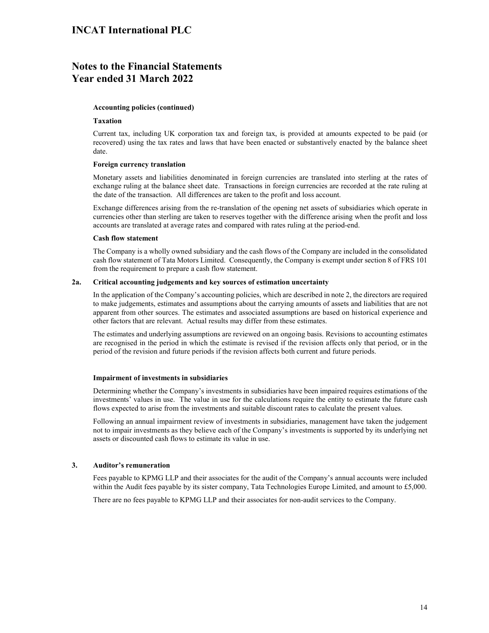### Notes to the Financial Statements Year ended 31 March 2022

### Accounting policies (continued)

#### Taxation

Current tax, including UK corporation tax and foreign tax, is provided at amounts expected to be paid (or recovered) using the tax rates and laws that have been enacted or substantively enacted by the balance sheet date.

#### Foreign currency translation

Monetary assets and liabilities denominated in foreign currencies are translated into sterling at the rates of exchange ruling at the balance sheet date. Transactions in foreign currencies are recorded at the rate ruling at the date of the transaction. All differences are taken to the profit and loss account.

Exchange differences arising from the re-translation of the opening net assets of subsidiaries which operate in currencies other than sterling are taken to reserves together with the difference arising when the profit and loss accounts are translated at average rates and compared with rates ruling at the period-end.

### Cash flow statement

The Company is a wholly owned subsidiary and the cash flows of the Company are included in the consolidated cash flow statement of Tata Motors Limited. Consequently, the Company is exempt under section 8 of FRS 101 from the requirement to prepare a cash flow statement.

### 2a. Critical accounting judgements and key sources of estimation uncertainty

In the application of the Company's accounting policies, which are described in note 2, the directors are required to make judgements, estimates and assumptions about the carrying amounts of assets and liabilities that are not apparent from other sources. The estimates and associated assumptions are based on historical experience and other factors that are relevant. Actual results may differ from these estimates. Exchange differences arising from the re-translation of the opening net assets of subsidiaries which operate is our converted to the street of the interference arising when the profit and conservers to the difference arisi

The estimates and underlying assumptions are reviewed on an ongoing basis. Revisions to accounting estimates are recognised in the period in which the estimate is revised if the revision affects only that period, or in the period of the revision and future periods if the revision affects both current and future periods.

### Impairment of investments in subsidiaries

Determining whether the Company's investments in subsidiaries have been impaired requires estimations of the investments' values in use. The value in use for the calculations require the entity to estimate the future cash

Following an annual impairment review of investments in subsidiaries, management have taken the judgement not to impair investments as they believe each of the Company's investments is supported by its underlying net assets or discounted cash flows to estimate its value in use.

### 3. Auditor's remuneration

Fees payable to KPMG LLP and their associates for the audit of the Company's annual accounts were included within the Audit fees payable by its sister company, Tata Technologies Europe Limited, and amount to £5,000.

There are no fees payable to KPMG LLP and their associates for non-audit services to the Company.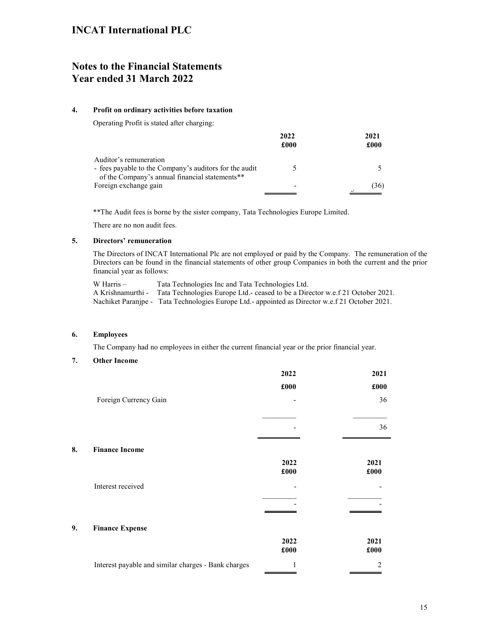## Notes to the Financial Statements Year ended 31 March 2022

### 4. Profit on ordinary activities before taxation

Operating Profit is stated after charging:

|                                                                                                                                    | 2022<br>£000 | 2021<br>£000 |
|------------------------------------------------------------------------------------------------------------------------------------|--------------|--------------|
| Auditor's remuneration<br>- fees payable to the Company's auditors for the audit<br>of the Company's annual financial statements** |              |              |
| Foreign exchange gain                                                                                                              | -            | (36)         |

\*\*The Audit fees is borne by the sister company, Tata Technologies Europe Limited.

There are no non audit fees.

### 5. Directors' remuneration

The Directors of INCAT International Plc are not employed or paid by the Company. The remuneration of the Directors can be found in the financial statements of other group Companies in both the current and the prior financial year as follows:

W Harris – Tata Technologies Inc and Tata Technologies Ltd. A Krishnamurthi - Tata Technologies Europe Ltd.- ceased to be a Director w.e.f 21 October 2021. Nachiket Paranjpe - Tata Technologies Europe Ltd.- appointed as Director w.e.f 21 October 2021.

### 6. Employees

The Company had no employees in either the current financial year or the prior financial year.

### 7. Other Income

|                                                     | 2022                     | 2021             |
|-----------------------------------------------------|--------------------------|------------------|
|                                                     | £000                     | £000             |
| Foreign Currency Gain                               | $\overline{\phantom{a}}$ | 36               |
|                                                     |                          |                  |
|                                                     |                          | 36               |
|                                                     |                          |                  |
| 8.<br><b>Finance Income</b>                         |                          |                  |
|                                                     | 2022                     | 2021             |
|                                                     | £000                     | £000             |
| Interest received                                   |                          |                  |
|                                                     |                          |                  |
|                                                     |                          |                  |
| <b>Finance Expense</b><br>9.                        |                          |                  |
|                                                     | 2022                     | 2021             |
|                                                     | £000                     | £000             |
| Interest payable and similar charges - Bank charges |                          | $\boldsymbol{2}$ |
|                                                     |                          |                  |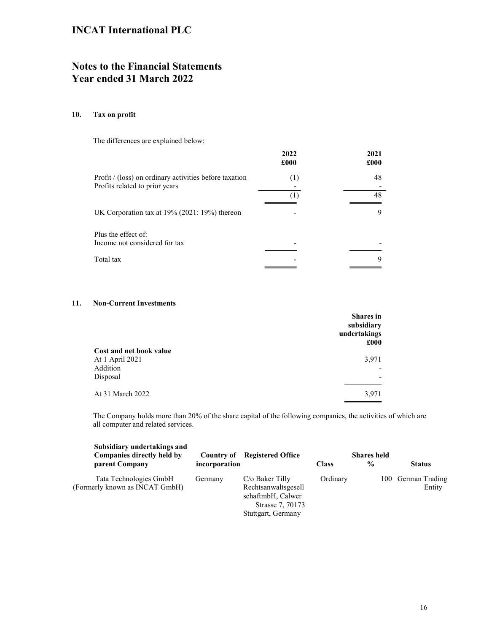## Notes to the Financial Statements Year ended 31 March 2022

### 10. Tax on profit

The differences are explained below:

|                                                                                          | 2022<br>£000             | 2021<br>£000 |  |
|------------------------------------------------------------------------------------------|--------------------------|--------------|--|
| Profit / (loss) on ordinary activities before taxation<br>Profits related to prior years | $^{(1)}$<br>Ŧ            | 48<br>48     |  |
| UK Corporation tax at $19\%$ (2021: 19%) thereon                                         |                          | 9            |  |
| Plus the effect of:<br>Income not considered for tax                                     | $\overline{\phantom{0}}$ |              |  |
| Total tax                                                                                |                          | q            |  |

### 11. Non-Current Investments

|                                            | <b>Shares</b> in<br>subsidiary<br>undertakings<br>£000 |  |
|--------------------------------------------|--------------------------------------------------------|--|
| Cost and net book value<br>At 1 April 2021 | 3,971                                                  |  |
| Addition                                   | $\overline{\phantom{0}}$                               |  |
| Disposal                                   | $\overline{\phantom{0}}$                               |  |
| At 31 March 2022                           | 3,971                                                  |  |
|                                            |                                                        |  |

The Company holds more than 20% of the share capital of the following companies, the activities of which are all computer and related services.

| Subsidiary undertakings and<br>Companies directly held by |               | <b>Country of Registered Office</b>                                                                     |              | <b>Shares held</b> |                              |
|-----------------------------------------------------------|---------------|---------------------------------------------------------------------------------------------------------|--------------|--------------------|------------------------------|
| parent Company                                            | incorporation |                                                                                                         | <b>Class</b> | $\frac{0}{0}$      | <b>Status</b>                |
| Tata Technologies GmbH<br>(Formerly known as INCAT GmbH)  | Germany       | $C/O$ Baker Tilly<br>Rechtsanwaltsgesell<br>schaftmbH, Calwer<br>Strasse 7, 70173<br>Stuttgart, Germany | Ordinary     |                    | 100 German Trading<br>Entity |